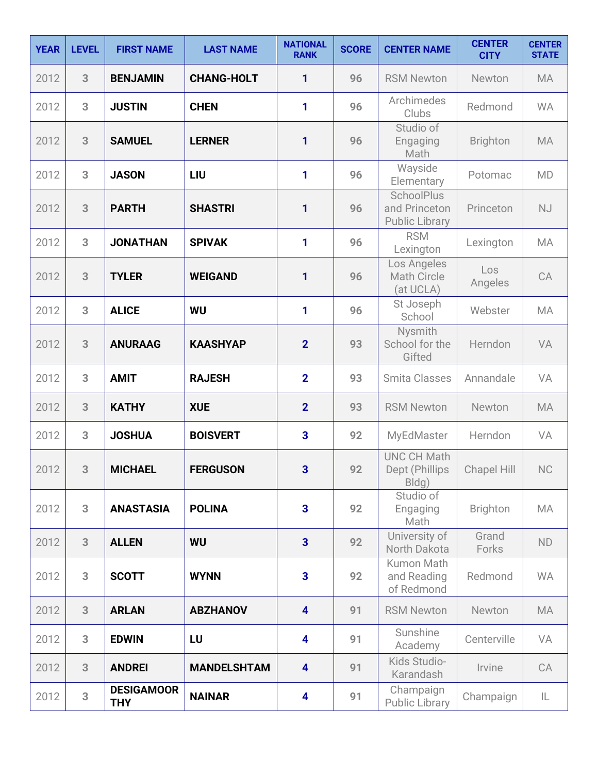| <b>YEAR</b> | <b>LEVEL</b> | <b>FIRST NAME</b>               | <b>LAST NAME</b>   | <b>NATIONAL</b><br><b>RANK</b> | <b>SCORE</b> | <b>CENTER NAME</b>                                   | <b>CENTER</b><br><b>CITY</b> | <b>CENTER</b><br><b>STATE</b> |
|-------------|--------------|---------------------------------|--------------------|--------------------------------|--------------|------------------------------------------------------|------------------------------|-------------------------------|
| 2012        | 3            | <b>BENJAMIN</b>                 | <b>CHANG-HOLT</b>  | 1                              | 96           | <b>RSM Newton</b>                                    | Newton                       | <b>MA</b>                     |
| 2012        | 3            | <b>JUSTIN</b>                   | <b>CHEN</b>        | 1                              | 96           | Archimedes<br>Clubs                                  | Redmond                      | <b>WA</b>                     |
| 2012        | 3            | <b>SAMUEL</b>                   | <b>LERNER</b>      | 1                              | 96           | Studio of<br>Engaging<br>Math                        | <b>Brighton</b>              | MA                            |
| 2012        | 3            | <b>JASON</b>                    | LIU                | 1                              | 96           | Wayside<br>Elementary                                | Potomac                      | <b>MD</b>                     |
| 2012        | 3            | <b>PARTH</b>                    | <b>SHASTRI</b>     | 1                              | 96           | SchoolPlus<br>and Princeton<br><b>Public Library</b> | Princeton                    | <b>NJ</b>                     |
| 2012        | 3            | <b>JONATHAN</b>                 | <b>SPIVAK</b>      | 1                              | 96           | <b>RSM</b><br>Lexington                              | Lexington                    | <b>MA</b>                     |
| 2012        | 3            | <b>TYLER</b>                    | <b>WEIGAND</b>     | 1                              | 96           | Los Angeles<br><b>Math Circle</b><br>(at UCLA)       | Los<br>Angeles               | CA                            |
| 2012        | 3            | <b>ALICE</b>                    | <b>WU</b>          | 1                              | 96           | St Joseph<br>School                                  | Webster                      | MA                            |
| 2012        | 3            | <b>ANURAAG</b>                  | <b>KAASHYAP</b>    | $\overline{2}$                 | 93           | Nysmith<br>School for the<br>Gifted                  | Herndon                      | VA                            |
| 2012        | 3            | <b>AMIT</b>                     | <b>RAJESH</b>      | $\overline{2}$                 | 93           | <b>Smita Classes</b>                                 | Annandale                    | VA                            |
| 2012        | 3            | <b>KATHY</b>                    | <b>XUE</b>         | $\overline{2}$                 | 93           | <b>RSM Newton</b>                                    | Newton                       | <b>MA</b>                     |
| 2012        | 3            | <b>JOSHUA</b>                   | <b>BOISVERT</b>    | 3                              | 92           | MyEdMaster                                           | Herndon                      | VA                            |
| 2012        | 3            | <b>MICHAEL</b>                  | <b>FERGUSON</b>    | 3                              | 92           | <b>UNC CH Math</b><br>Dept (Phillips<br>Bldg)        | Chapel Hill                  | NC                            |
| 2012        | 3            | <b>ANASTASIA</b>                | <b>POLINA</b>      | 3                              | 92           | Studio of<br>Engaging<br>Math                        | <b>Brighton</b>              | MA                            |
| 2012        | 3            | <b>ALLEN</b>                    | <b>WU</b>          | $\overline{\mathbf{3}}$        | 92           | University of<br>North Dakota                        | Grand<br>Forks               | ND                            |
| 2012        | 3            | <b>SCOTT</b>                    | <b>WYNN</b>        | 3                              | 92           | Kumon Math<br>and Reading<br>of Redmond              | Redmond                      | <b>WA</b>                     |
| 2012        | 3            | <b>ARLAN</b>                    | <b>ABZHANOV</b>    | $\overline{\mathbf{4}}$        | 91           | <b>RSM Newton</b>                                    | Newton                       | MA                            |
| 2012        | 3            | <b>EDWIN</b>                    | LU                 | 4                              | 91           | Sunshine<br>Academy                                  | Centerville                  | VA                            |
| 2012        | 3            | <b>ANDREI</b>                   | <b>MANDELSHTAM</b> | $\overline{\mathbf{4}}$        | 91           | Kids Studio-<br>Karandash                            | Irvine                       | CA                            |
| 2012        | 3            | <b>DESIGAMOOR</b><br><b>THY</b> | <b>NAINAR</b>      | 4                              | 91           | Champaign<br><b>Public Library</b>                   | Champaign                    | IL                            |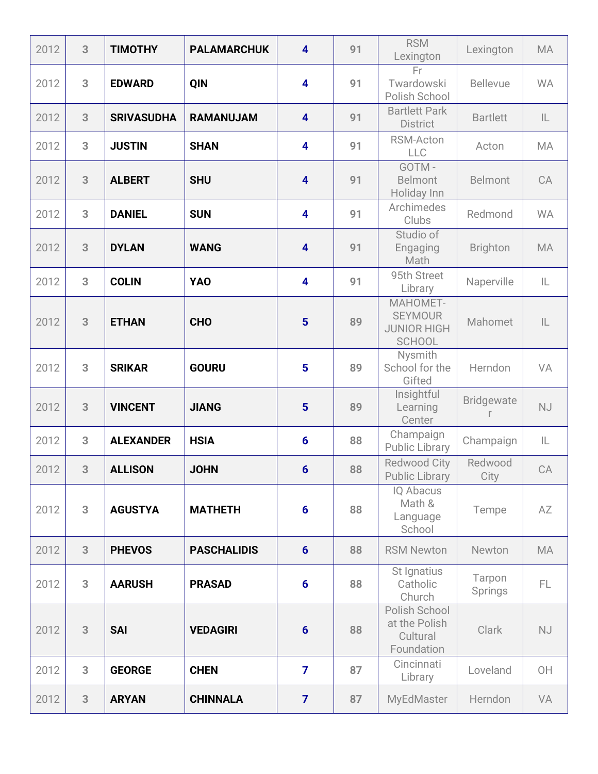| 2012 | 3 | <b>TIMOTHY</b>    | <b>PALAMARCHUK</b> | $\overline{\mathbf{4}}$ | 91 | <b>RSM</b><br>Lexington                                           | Lexington         | <b>MA</b>     |
|------|---|-------------------|--------------------|-------------------------|----|-------------------------------------------------------------------|-------------------|---------------|
| 2012 | 3 | <b>EDWARD</b>     | QIN                | 4                       | 91 | Fr.<br>Twardowski<br>Polish School                                | <b>Bellevue</b>   | <b>WA</b>     |
| 2012 | 3 | <b>SRIVASUDHA</b> | <b>RAMANUJAM</b>   | $\overline{\mathbf{4}}$ | 91 | <b>Bartlett Park</b><br><b>District</b>                           | <b>Bartlett</b>   | $\mathsf{IL}$ |
| 2012 | 3 | <b>JUSTIN</b>     | <b>SHAN</b>        | 4                       | 91 | RSM-Acton<br><b>LLC</b>                                           | Acton             | MA            |
| 2012 | 3 | <b>ALBERT</b>     | <b>SHU</b>         | $\overline{\mathbf{4}}$ | 91 | GOTM-<br><b>Belmont</b><br>Holiday Inn                            | <b>Belmont</b>    | CA            |
| 2012 | 3 | <b>DANIEL</b>     | <b>SUN</b>         | $\overline{\mathbf{4}}$ | 91 | Archimedes<br>Clubs                                               | Redmond           | <b>WA</b>     |
| 2012 | 3 | <b>DYLAN</b>      | <b>WANG</b>        | $\overline{\mathbf{4}}$ | 91 | Studio of<br>Engaging<br>Math                                     | <b>Brighton</b>   | <b>MA</b>     |
| 2012 | 3 | <b>COLIN</b>      | <b>YAO</b>         | $\overline{\mathbf{4}}$ | 91 | 95th Street<br>Library                                            | Naperville        | IL            |
| 2012 | 3 | <b>ETHAN</b>      | <b>CHO</b>         | $5\phantom{1}$          | 89 | MAHOMET-<br><b>SEYMOUR</b><br><b>JUNIOR HIGH</b><br><b>SCHOOL</b> | Mahomet           | $\mathsf{IL}$ |
| 2012 | 3 | <b>SRIKAR</b>     | <b>GOURU</b>       | 5                       | 89 | Nysmith<br>School for the<br>Gifted                               | Herndon           | VA            |
| 2012 | 3 | <b>VINCENT</b>    | <b>JIANG</b>       | $5\phantom{1}$          | 89 | Insightful<br>Learning<br>Center                                  | <b>Bridgewate</b> | <b>NJ</b>     |
| 2012 | 3 | <b>ALEXANDER</b>  | <b>HSIA</b>        | $6\phantom{1}6$         | 88 | Champaign<br>Public Library                                       | Champaign         | IL            |
| 2012 | 3 | <b>ALLISON</b>    | <b>JOHN</b>        | $6\phantom{1}6$         | 88 | <b>Redwood City</b><br><b>Public Library</b>                      | Redwood<br>City   | CA            |
| 2012 | 3 | <b>AGUSTYA</b>    | <b>MATHETH</b>     | $6\phantom{1}6$         | 88 | <b>IQ Abacus</b><br>Math &<br>Language<br>School                  | Tempe             | AZ            |
| 2012 | 3 | <b>PHEVOS</b>     | <b>PASCHALIDIS</b> | $6\phantom{1}$          | 88 | <b>RSM Newton</b>                                                 | Newton            | MA            |
| 2012 | 3 | <b>AARUSH</b>     | <b>PRASAD</b>      | $6\phantom{1}6$         | 88 | St Ignatius<br>Catholic<br>Church                                 | Tarpon<br>Springs | FL.           |
| 2012 | 3 | <b>SAI</b>        | <b>VEDAGIRI</b>    | $6\phantom{1}6$         | 88 | Polish School<br>at the Polish<br>Cultural<br>Foundation          | Clark             | <b>NJ</b>     |
| 2012 | 3 | <b>GEORGE</b>     | <b>CHEN</b>        | $\overline{\mathbf{z}}$ | 87 | Cincinnati<br>Library                                             | Loveland          | OH            |
| 2012 | 3 | <b>ARYAN</b>      | <b>CHINNALA</b>    | $\overline{7}$          | 87 | <b>MyEdMaster</b>                                                 | Herndon           | VA            |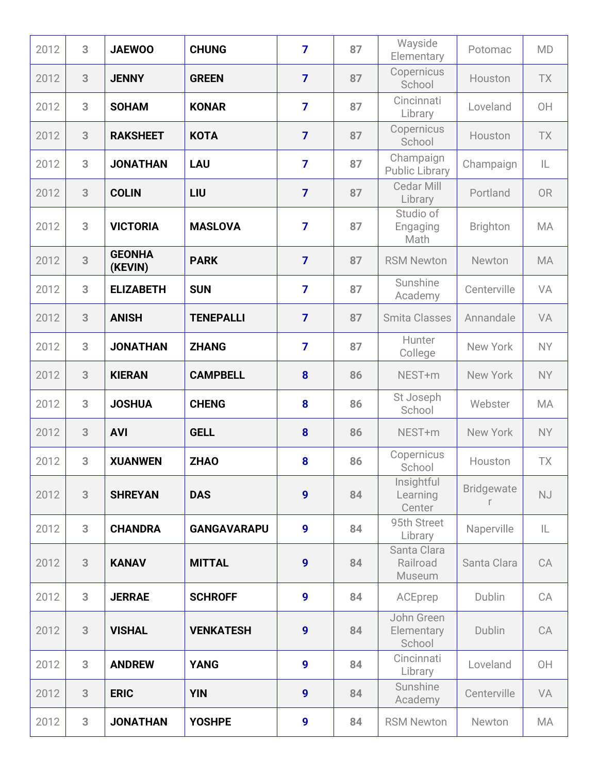| 2012 | 3 | <b>JAEWOO</b>            | <b>CHUNG</b>       | $\overline{7}$   | 87 | Wayside<br>Elementary              | Potomac           | <b>MD</b> |
|------|---|--------------------------|--------------------|------------------|----|------------------------------------|-------------------|-----------|
| 2012 | 3 | <b>JENNY</b>             | <b>GREEN</b>       | $\overline{7}$   | 87 | Copernicus<br>School               | Houston           | <b>TX</b> |
| 2012 | 3 | <b>SOHAM</b>             | <b>KONAR</b>       | $\overline{7}$   | 87 | Cincinnati<br>Library              | Loveland          | OH        |
| 2012 | 3 | <b>RAKSHEET</b>          | <b>KOTA</b>        | $\overline{7}$   | 87 | Copernicus<br>School               | Houston           | TX        |
| 2012 | 3 | <b>JONATHAN</b>          | <b>LAU</b>         | $\overline{7}$   | 87 | Champaign<br><b>Public Library</b> | Champaign         | IL        |
| 2012 | 3 | <b>COLIN</b>             | LIU                | $\overline{7}$   | 87 | Cedar Mill<br>Library              | Portland          | <b>OR</b> |
| 2012 | 3 | <b>VICTORIA</b>          | <b>MASLOVA</b>     | $\overline{7}$   | 87 | Studio of<br>Engaging<br>Math      | <b>Brighton</b>   | <b>MA</b> |
| 2012 | 3 | <b>GEONHA</b><br>(KEVIN) | <b>PARK</b>        | $\overline{7}$   | 87 | <b>RSM Newton</b>                  | Newton            | <b>MA</b> |
| 2012 | 3 | <b>ELIZABETH</b>         | <b>SUN</b>         | $\overline{7}$   | 87 | Sunshine<br>Academy                | Centerville       | VA        |
| 2012 | 3 | <b>ANISH</b>             | <b>TENEPALLI</b>   | $\overline{7}$   | 87 | <b>Smita Classes</b>               | Annandale         | VA        |
| 2012 | 3 | <b>JONATHAN</b>          | <b>ZHANG</b>       | $\overline{7}$   | 87 | Hunter<br>College                  | New York          | <b>NY</b> |
| 2012 | 3 | <b>KIERAN</b>            | <b>CAMPBELL</b>    | 8                | 86 | NEST+m                             | New York          | <b>NY</b> |
| 2012 | 3 | <b>JOSHUA</b>            | <b>CHENG</b>       | 8                | 86 | St Joseph<br>School                | Webster           | MA        |
| 2012 | 3 | <b>AVI</b>               | <b>GELL</b>        | 8                | 86 | NEST+m                             | New York          | <b>NY</b> |
| 2012 | 3 | <b>XUANWEN</b>           | <b>ZHAO</b>        | 8                | 86 | Copernicus<br>School               | Houston           | <b>TX</b> |
| 2012 | 3 | <b>SHREYAN</b>           | <b>DAS</b>         | $\boldsymbol{9}$ | 84 | Insightful<br>Learning<br>Center   | <b>Bridgewate</b> | <b>NJ</b> |
| 2012 | 3 | <b>CHANDRA</b>           | <b>GANGAVARAPU</b> | 9                | 84 | 95th Street<br>Library             | Naperville        | IL.       |
| 2012 | 3 | <b>KANAV</b>             | <b>MITTAL</b>      | $\boldsymbol{9}$ | 84 | Santa Clara<br>Railroad<br>Museum  | Santa Clara       | CA        |
| 2012 | 3 | <b>JERRAE</b>            | <b>SCHROFF</b>     | $\boldsymbol{9}$ | 84 | ACEprep                            | Dublin            | CA        |
| 2012 | 3 | <b>VISHAL</b>            | <b>VENKATESH</b>   | $\boldsymbol{9}$ | 84 | John Green<br>Elementary<br>School | Dublin            | CA        |
| 2012 | 3 | <b>ANDREW</b>            | <b>YANG</b>        | 9                | 84 | Cincinnati<br>Library              | Loveland          | OH        |
| 2012 | 3 | <b>ERIC</b>              | <b>YIN</b>         | $\boldsymbol{9}$ | 84 | Sunshine<br>Academy                | Centerville       | VA        |
| 2012 | 3 | <b>JONATHAN</b>          | <b>YOSHPE</b>      | 9                | 84 | <b>RSM Newton</b>                  | Newton            | MA        |